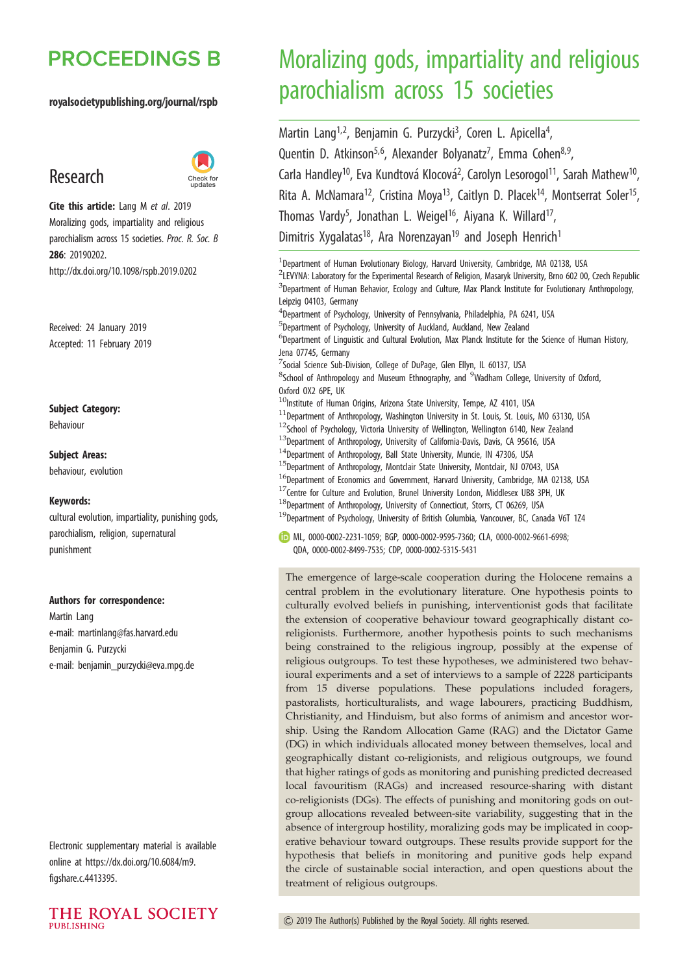## **PROCEEDINGS B**

#### royalsocietypublishing.org/journal/rspb

## Research



Cite this article: Lang M et al. 2019 Moralizing gods, impartiality and religious parochialism across 15 societies. Proc. R. Soc. B 286: 20190202. http://dx.doi.org/10.1098/rspb.2019.0202

Received: 24 January 2019 Accepted: 11 February 2019

Subject Category:

Behaviour

Subject Areas: behaviour, evolution

#### Keywords:

cultural evolution, impartiality, punishing gods, parochialism, religion, supernatural punishment

#### Authors for correspondence:

Martin Lang e-mail: [martinlang@fas.harvard.edu](mailto:martinlang@fas.harvard.edu) Benjamin G. Purzycki e-mail: [benjamin\\_purzycki@eva.mpg.de](mailto:benjamin_purzycki@eva.mpg.de)

Electronic supplementary material is available online at [https://dx.doi.org/10.6084/m9.](https://dx.doi.org/10.6084/m9.figshare.c.4413395) [figshare.c.4413395](https://dx.doi.org/10.6084/m9.figshare.c.4413395).



# Moralizing gods, impartiality and religious parochialism across 15 societies

Martin Lang<sup>1,2</sup>, Benjamin G. Purzycki<sup>3</sup>, Coren L. Apicella<sup>4</sup> .<br>, Quentin D. Atkinson<sup>5,6</sup>, Alexander Bolyanatz<sup>7</sup>, Emma Cohen<sup>8,9</sup>, Carla Handley<sup>10</sup>, Eva Kundtová Klocová<sup>2</sup>, Carolyn Lesorogol<sup>11</sup>, Sarah Mathew<sup>10</sup>, Rita A. McNamara<sup>12</sup>, Cristina Moya<sup>13</sup>, Caitlyn D. Placek<sup>14</sup>, Montserrat Soler<sup>15</sup>, Thomas Vardy<sup>5</sup>, Jonathan L. Weigel<sup>16</sup>, Aiyana K. Willard<sup>17</sup>, Dimitris Xygalatas<sup>18</sup>, Ara Norenzayan<sup>19</sup> and Joseph Henrich<sup>1</sup>

<sup>1</sup>Department of Human Evolutionary Biology, Harvard University, Cambridge, MA 02138, USA <sup>2</sup>LEVYNA: Laboratory for the Experimental Research of Religion, Masaryk University, Brno 602 00, Czech Republic <sup>3</sup>Department of Human Behavior, Ecology and Culture, Max Planck Institute for Evolutionary Anthropology, Leipzig 04103, Germany 4 Department of Psychology, University of Pennsylvania, Philadelphia, PA 6241, USA 5 Department of Psychology, University of Auckland, Auckland, New Zealand 6 Department of Linguistic and Cultural Evolution, Max Planck Institute for the Science of Human History, Jena 07745, Germany 7 Social Science Sub-Division, College of DuPage, Glen Ellyn, IL 60137, USA <sup>8</sup>School of Anthropology and Museum Ethnography, and <sup>9</sup>Wadham College, University of Oxford, Oxford OX2 6PE, UK  $10$ Institute of Human Origins, Arizona State University, Tempe, AZ 4101, USA  $11$ Department of Anthropology, Washington University in St. Louis, St. Louis, MO 63130, USA  $12$ School of Psychology, Victoria University of Wellington, Wellington 6140, New Zealand  $13$ Department of Anthropology, University of California-Davis, Davis, CA 95616, USA <sup>14</sup>Department of Anthropology, Ball State University, Muncie, IN 47306, USA <sup>15</sup>Department of Anthropology, Montclair State University, Montclair, NJ 07043, USA  $^{16}$ Department of Economics and Government, Harvard University, Cambridge, MA 02138, USA  $17$ Centre for Culture and Evolution, Brunel University London, Middlesex UB8 3PH, UK  $^{18}$ Department of Anthropology, University of Connecticut, Storrs, CT 06269, USA  $^{19}$ Department of Psychology, University of British Columbia, Vancouver, BC, Canada V6T 1Z4

ML, [0000-0002-2231-1059;](http://orcid.org/0000-0002-2231-1059) BGP, [0000-0002-9595-7360](http://orcid.org/0000-0002-9595-7360); CLA, [0000-0002-9661-6998](http://orcid.org/0000-0002-9661-6998); QDA, [0000-0002-8499-7535](http://orcid.org/0000-0002-8499-7535); CDP, [0000-0002-5315-5431](http://orcid.org/0000-0002-5315-5431)

The emergence of large-scale cooperation during the Holocene remains a central problem in the evolutionary literature. One hypothesis points to culturally evolved beliefs in punishing, interventionist gods that facilitate the extension of cooperative behaviour toward geographically distant coreligionists. Furthermore, another hypothesis points to such mechanisms being constrained to the religious ingroup, possibly at the expense of religious outgroups. To test these hypotheses, we administered two behavioural experiments and a set of interviews to a sample of 2228 participants from 15 diverse populations. These populations included foragers, pastoralists, horticulturalists, and wage labourers, practicing Buddhism, Christianity, and Hinduism, but also forms of animism and ancestor worship. Using the Random Allocation Game (RAG) and the Dictator Game (DG) in which individuals allocated money between themselves, local and geographically distant co-religionists, and religious outgroups, we found that higher ratings of gods as monitoring and punishing predicted decreased local favouritism (RAGs) and increased resource-sharing with distant co-religionists (DGs). The effects of punishing and monitoring gods on outgroup allocations revealed between-site variability, suggesting that in the absence of intergroup hostility, moralizing gods may be implicated in cooperative behaviour toward outgroups. These results provide support for the hypothesis that beliefs in monitoring and punitive gods help expand the circle of sustainable social interaction, and open questions about the treatment of religious outgroups.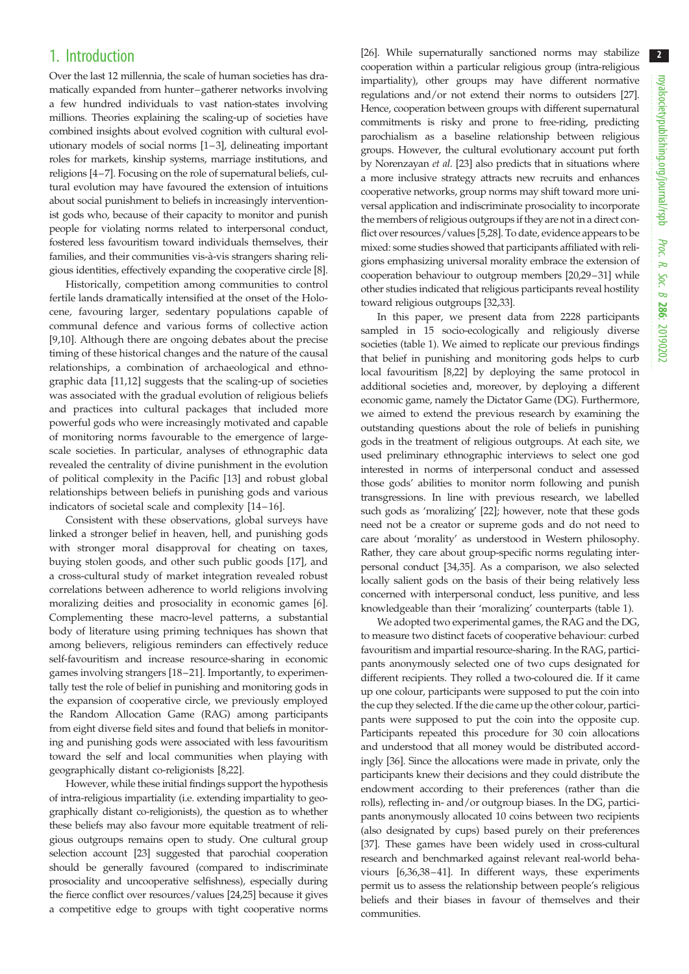## 1. Introduction

Over the last 12 millennia, the scale of human societies has dramatically expanded from hunter–gatherer networks involving a few hundred individuals to vast nation-states involving millions. Theories explaining the scaling-up of societies have combined insights about evolved cognition with cultural evolutionary models of social norms [\[1](#page-8-0)–[3\]](#page-8-0), delineating important roles for markets, kinship systems, marriage institutions, and religions [\[4](#page-8-0)–[7\]](#page-9-0). Focusing on the role of supernatural beliefs, cultural evolution may have favoured the extension of intuitions about social punishment to beliefs in increasingly interventionist gods who, because of their capacity to monitor and punish people for violating norms related to interpersonal conduct, fostered less favouritism toward individuals themselves, their families, and their communities vis-à-vis strangers sharing religious identities, effectively expanding the cooperative circle [\[8](#page-9-0)].

Historically, competition among communities to control fertile lands dramatically intensified at the onset of the Holocene, favouring larger, sedentary populations capable of communal defence and various forms of collective action [\[9,10](#page-9-0)]. Although there are ongoing debates about the precise timing of these historical changes and the nature of the causal relationships, a combination of archaeological and ethnographic data [[11,12\]](#page-9-0) suggests that the scaling-up of societies was associated with the gradual evolution of religious beliefs and practices into cultural packages that included more powerful gods who were increasingly motivated and capable of monitoring norms favourable to the emergence of largescale societies. In particular, analyses of ethnographic data revealed the centrality of divine punishment in the evolution of political complexity in the Pacific [\[13](#page-9-0)] and robust global relationships between beliefs in punishing gods and various indicators of societal scale and complexity [[14](#page-9-0)-16].

Consistent with these observations, global surveys have linked a stronger belief in heaven, hell, and punishing gods with stronger moral disapproval for cheating on taxes, buying stolen goods, and other such public goods [[17\]](#page-9-0), and a cross-cultural study of market integration revealed robust correlations between adherence to world religions involving moralizing deities and prosociality in economic games [[6](#page-8-0)]. Complementing these macro-level patterns, a substantial body of literature using priming techniques has shown that among believers, religious reminders can effectively reduce self-favouritism and increase resource-sharing in economic games involving strangers [[18](#page-9-0)–[21](#page-9-0)]. Importantly, to experimentally test the role of belief in punishing and monitoring gods in the expansion of cooperative circle, we previously employed the Random Allocation Game (RAG) among participants from eight diverse field sites and found that beliefs in monitoring and punishing gods were associated with less favouritism toward the self and local communities when playing with geographically distant co-religionists [[8,22](#page-9-0)].

However, while these initial findings support the hypothesis of intra-religious impartiality (i.e. extending impartiality to geographically distant co-religionists), the question as to whether these beliefs may also favour more equitable treatment of religious outgroups remains open to study. One cultural group selection account [\[23](#page-9-0)] suggested that parochial cooperation should be generally favoured (compared to indiscriminate prosociality and uncooperative selfishness), especially during the fierce conflict over resources/values [\[24,25](#page-9-0)] because it gives a competitive edge to groups with tight cooperative norms

[[26](#page-9-0)]. While supernaturally sanctioned norms may stabilize cooperation within a particular religious group (intra-religious impartiality), other groups may have different normative regulations and/or not extend their norms to outsiders [\[27\]](#page-9-0). Hence, cooperation between groups with different supernatural commitments is risky and prone to free-riding, predicting parochialism as a baseline relationship between religious groups. However, the cultural evolutionary account put forth by Norenzayan et al. [[23](#page-9-0)] also predicts that in situations where a more inclusive strategy attracts new recruits and enhances cooperative networks, group norms may shift toward more universal application and indiscriminate prosociality to incorporate the members of religious outgroups if they are not in a direct conflict over resources/values [\[5](#page-8-0)[,28](#page-9-0)]. To date, evidence appears to be mixed: some studies showed that participants affiliated with religions emphasizing universal morality embrace the extension of cooperation behaviour to outgroup members [\[20,29](#page-9-0)–[31\]](#page-9-0) while other studies indicated that religious participants reveal hostility toward religious outgroups [\[32,33](#page-9-0)].

In this paper, we present data from 2228 participants sampled in 15 socio-ecologically and religiously diverse societies ([table 1](#page-2-0)). We aimed to replicate our previous findings that belief in punishing and monitoring gods helps to curb local favouritism [\[8](#page-9-0),[22](#page-9-0)] by deploying the same protocol in additional societies and, moreover, by deploying a different economic game, namely the Dictator Game (DG). Furthermore, we aimed to extend the previous research by examining the outstanding questions about the role of beliefs in punishing gods in the treatment of religious outgroups. At each site, we used preliminary ethnographic interviews to select one god interested in norms of interpersonal conduct and assessed those gods' abilities to monitor norm following and punish transgressions. In line with previous research, we labelled such gods as 'moralizing' [\[22\]](#page-9-0); however, note that these gods need not be a creator or supreme gods and do not need to care about 'morality' as understood in Western philosophy. Rather, they care about group-specific norms regulating interpersonal conduct [\[34,35\]](#page-9-0). As a comparison, we also selected locally salient gods on the basis of their being relatively less concerned with interpersonal conduct, less punitive, and less knowledgeable than their 'moralizing' counterparts [\(table 1\)](#page-2-0).

We adopted two experimental games, the RAG and the DG, to measure two distinct facets of cooperative behaviour: curbed favouritism and impartial resource-sharing. In the RAG, participants anonymously selected one of two cups designated for different recipients. They rolled a two-coloured die. If it came up one colour, participants were supposed to put the coin into the cup they selected. If the die came up the other colour, participants were supposed to put the coin into the opposite cup. Participants repeated this procedure for 30 coin allocations and understood that all money would be distributed accordingly [[36\]](#page-9-0). Since the allocations were made in private, only the participants knew their decisions and they could distribute the endowment according to their preferences (rather than die rolls), reflecting in- and/or outgroup biases. In the DG, participants anonymously allocated 10 coins between two recipients (also designated by cups) based purely on their preferences [[37](#page-9-0)]. These games have been widely used in cross-cultural research and benchmarked against relevant real-world behaviours [\[6,](#page-8-0)[36,38](#page-9-0)–[41\]](#page-9-0). In different ways, these experiments permit us to assess the relationship between people's religious beliefs and their biases in favour of themselves and their communities.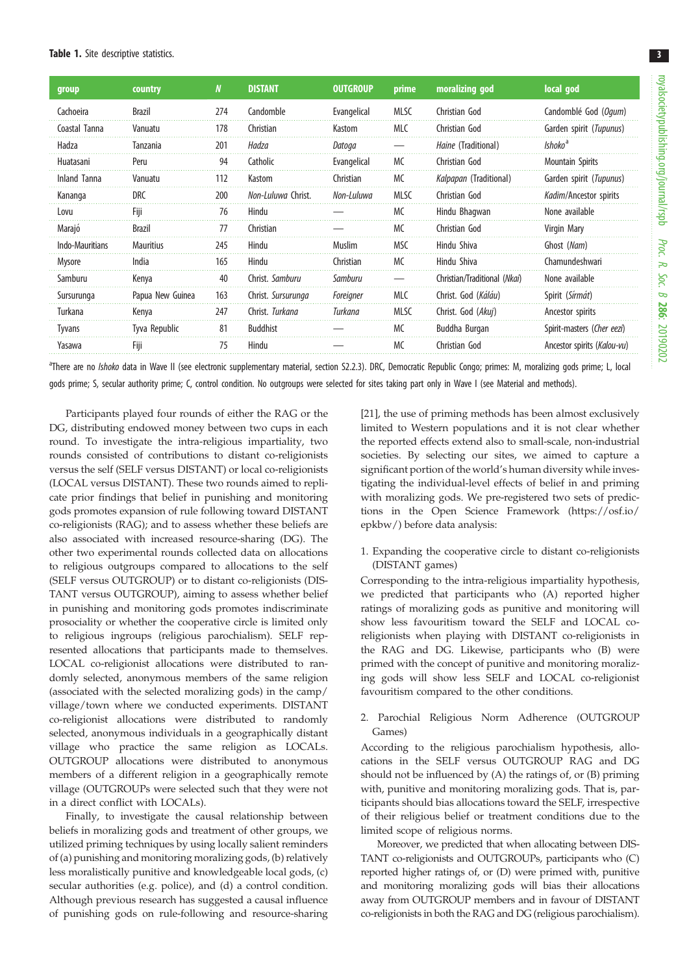<span id="page-2-0"></span>

| group           | country          | N   | <b>DISTANT</b>     | <b>OUTGROUP</b> | prime       | moralizing god                | local god                   |
|-----------------|------------------|-----|--------------------|-----------------|-------------|-------------------------------|-----------------------------|
| Cachoeira       | <b>Brazil</b>    | 274 | Candomble          | Evangelical     | <b>MLSC</b> | Christian God                 | Candomblé God (Ogum)        |
| Coastal Tanna   | Vanuatu          | 178 | Christian          | Kastom          | <b>MLC</b>  | Christian God                 | Garden spirit (Tupunus)     |
| Hadza           | Tanzania         | 201 | Hadza              | Datoga          |             | <i>Haine</i> (Traditional)    | Ishoko <sup>a</sup>         |
| Huatasani       | Peru             | 94  | Catholic           | Evangelical     | MC.         | Christian God                 | Mountain Spirits            |
| Inland Tanna    | Vanuatu          | 112 | Kastom             | Christian       | <b>MC</b>   | <i>Kalpapan</i> (Traditional) | Garden spirit (Tupunus)     |
| Kananga         | DRC              | 200 | Non-Luluwa Christ. | Non-Luluwa      | MLSC        | Christian God                 | Kadim/Ancestor spirits      |
| Lovu            | Fiji             | 76  | Hindu              |                 | MC.         | Hindu Bhagwan                 | None available              |
| Marajó          | <b>Brazil</b>    | 77  | Christian          |                 | МC          | Christian God                 | Virgin Mary                 |
| Indo-Mauritians | <b>Mauritius</b> | 245 | Hindu              | <b>Muslim</b>   | MSC         | Hindu Shiva                   | Ghost (Nam)                 |
| Mysore          | India            | 165 | Hindu              | Christian       | МC          | Hindu Shiva                   | Chamundeshwari              |
| Samburu         | Kenva            | 40  | Christ. Samburu    | Samburu         |             | Christian/Traditional (Nkai)  | None available              |
| Sursurunga      | Papua New Guinea | 163 | Christ. Sursurunga | Foreigner       | <b>MLC</b>  | Christ. God (Káláu)           | Spirit (Sírmát)             |
| Turkana         | Kenya            | 247 | Christ. Turkana    | Turkana         | <b>MLSC</b> | Christ. God (Akuj)            | Ancestor spirits            |
| <b>Tyvans</b>   | Tyva Republic    | 81  | <b>Buddhist</b>    |                 | MC          | Buddha Burgan                 | Spirit-masters (Cher eezi)  |
| Yasawa          | Fiii             | 75  | Hindu              |                 | <b>MC</b>   | Christian God                 | Ancestor spirits (Kalou-vu) |

<sup>a</sup>There are no *Ishoko* data in Wave II (see electronic supplementary material, section S2.2.3). DRC, Democratic Republic Congo; primes: M, moralizing gods prime; L, local gods prime; S, secular authority prime; C, control condition. No outgroups were selected for sites taking part only in Wave I (see Material and methods).

Participants played four rounds of either the RAG or the DG, distributing endowed money between two cups in each round. To investigate the intra-religious impartiality, two rounds consisted of contributions to distant co-religionists versus the self (SELF versus DISTANT) or local co-religionists (LOCAL versus DISTANT). These two rounds aimed to replicate prior findings that belief in punishing and monitoring gods promotes expansion of rule following toward DISTANT co-religionists (RAG); and to assess whether these beliefs are also associated with increased resource-sharing (DG). The other two experimental rounds collected data on allocations to religious outgroups compared to allocations to the self (SELF versus OUTGROUP) or to distant co-religionists (DIS-TANT versus OUTGROUP), aiming to assess whether belief in punishing and monitoring gods promotes indiscriminate prosociality or whether the cooperative circle is limited only to religious ingroups (religious parochialism). SELF represented allocations that participants made to themselves. LOCAL co-religionist allocations were distributed to randomly selected, anonymous members of the same religion (associated with the selected moralizing gods) in the camp/ village/town where we conducted experiments. DISTANT co-religionist allocations were distributed to randomly selected, anonymous individuals in a geographically distant village who practice the same religion as LOCALs. OUTGROUP allocations were distributed to anonymous members of a different religion in a geographically remote village (OUTGROUPs were selected such that they were not in a direct conflict with LOCALs).

Finally, to investigate the causal relationship between beliefs in moralizing gods and treatment of other groups, we utilized priming techniques by using locally salient reminders of (a) punishing and monitoring moralizing gods, (b) relatively less moralistically punitive and knowledgeable local gods, (c) secular authorities (e.g. police), and (d) a control condition. Although previous research has suggested a causal influence of punishing gods on rule-following and resource-sharing [[21\]](#page-9-0), the use of priming methods has been almost exclusively limited to Western populations and it is not clear whether the reported effects extend also to small-scale, non-industrial societies. By selecting our sites, we aimed to capture a significant portion of the world's human diversity while investigating the individual-level effects of belief in and priming with moralizing gods. We pre-registered two sets of predictions in the Open Science Framework ([https://osf.io/](https://osf.io/epkbw/) [epkbw/](https://osf.io/epkbw/)) before data analysis:

1. Expanding the cooperative circle to distant co-religionists (DISTANT games)

Corresponding to the intra-religious impartiality hypothesis, we predicted that participants who (A) reported higher ratings of moralizing gods as punitive and monitoring will show less favouritism toward the SELF and LOCAL coreligionists when playing with DISTANT co-religionists in the RAG and DG. Likewise, participants who (B) were primed with the concept of punitive and monitoring moralizing gods will show less SELF and LOCAL co-religionist favouritism compared to the other conditions.

2. Parochial Religious Norm Adherence (OUTGROUP Games)

According to the religious parochialism hypothesis, allocations in the SELF versus OUTGROUP RAG and DG should not be influenced by (A) the ratings of, or (B) priming with, punitive and monitoring moralizing gods. That is, participants should bias allocations toward the SELF, irrespective of their religious belief or treatment conditions due to the limited scope of religious norms.

Moreover, we predicted that when allocating between DIS-TANT co-religionists and OUTGROUPs, participants who (C) reported higher ratings of, or (D) were primed with, punitive and monitoring moralizing gods will bias their allocations away from OUTGROUP members and in favour of DISTANT co-religionists in both the RAG and DG (religious parochialism).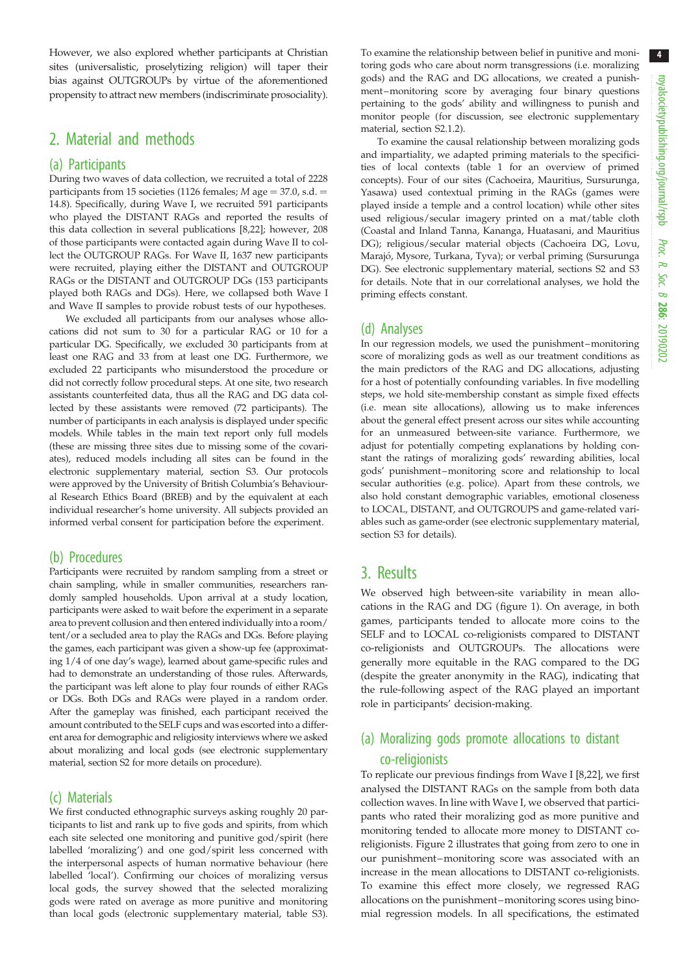However, we also explored whether participants at Christian sites (universalistic, proselytizing religion) will taper their bias against OUTGROUPs by virtue of the aforementioned propensity to attract new members (indiscriminate prosociality).

## 2. Material and methods

#### (a) Participants

During two waves of data collection, we recruited a total of 2228 participants from 15 societies (1126 females;  $M$  age = 37.0, s.d. = 14.8). Specifically, during Wave I, we recruited 591 participants who played the DISTANT RAGs and reported the results of this data collection in several publications [[8,22\]](#page-9-0); however, 208 of those participants were contacted again during Wave II to collect the OUTGROUP RAGs. For Wave II, 1637 new participants were recruited, playing either the DISTANT and OUTGROUP RAGs or the DISTANT and OUTGROUP DGs (153 participants played both RAGs and DGs). Here, we collapsed both Wave I and Wave II samples to provide robust tests of our hypotheses.

We excluded all participants from our analyses whose allocations did not sum to 30 for a particular RAG or 10 for a particular DG. Specifically, we excluded 30 participants from at least one RAG and 33 from at least one DG. Furthermore, we excluded 22 participants who misunderstood the procedure or did not correctly follow procedural steps. At one site, two research assistants counterfeited data, thus all the RAG and DG data collected by these assistants were removed (72 participants). The number of participants in each analysis is displayed under specific models. While tables in the main text report only full models (these are missing three sites due to missing some of the covariates), reduced models including all sites can be found in the electronic supplementary material, section S3. Our protocols were approved by the University of British Columbia's Behavioural Research Ethics Board (BREB) and by the equivalent at each individual researcher's home university. All subjects provided an informed verbal consent for participation before the experiment.

#### (b) Procedures

Participants were recruited by random sampling from a street or chain sampling, while in smaller communities, researchers randomly sampled households. Upon arrival at a study location, participants were asked to wait before the experiment in a separate area to prevent collusion and then entered individually into a room/ tent/or a secluded area to play the RAGs and DGs. Before playing the games, each participant was given a show-up fee (approximating 1/4 of one day's wage), learned about game-specific rules and had to demonstrate an understanding of those rules. Afterwards, the participant was left alone to play four rounds of either RAGs or DGs. Both DGs and RAGs were played in a random order. After the gameplay was finished, each participant received the amount contributed to the SELF cups and was escorted into a different area for demographic and religiosity interviews where we asked about moralizing and local gods (see electronic supplementary material, section S2 for more details on procedure).

#### (c) Materials

We first conducted ethnographic surveys asking roughly 20 participants to list and rank up to five gods and spirits, from which each site selected one monitoring and punitive god/spirit (here labelled 'moralizing') and one god/spirit less concerned with the interpersonal aspects of human normative behaviour (here labelled 'local'). Confirming our choices of moralizing versus local gods, the survey showed that the selected moralizing gods were rated on average as more punitive and monitoring than local gods (electronic supplementary material, table S3).

To examine the relationship between belief in punitive and monitoring gods who care about norm transgressions (i.e. moralizing gods) and the RAG and DG allocations, we created a punishment –monitoring score by averaging four binary questions pertaining to the gods' ability and willingness to punish and monitor people (for discussion, see electronic supplementary material, section S2.1.2).

To examine the causal relationship between moralizing gods and impartiality, we adapted priming materials to the specificities of local contexts [\(table 1](#page-2-0) for an overview of primed concepts). Four of our sites (Cachoeira, Mauritius, Sursurunga, Yasawa) used contextual priming in the RAGs (games were played inside a temple and a control location) while other sites used religious/secular imagery printed on a mat/table cloth (Coastal and Inland Tanna, Kananga, Huatasani, and Mauritius DG); religious/secular material objects (Cachoeira DG, Lovu, Marajó, Mysore, Turkana, Tyva); or verbal priming (Sursurunga DG). See electronic supplementary material, sections S2 and S3 for details. Note that in our correlational analyses, we hold the priming effects constant.

#### (d) Analyses

In our regression models, we used the punishment –monitoring score of moralizing gods as well as our treatment conditions as the main predictors of the RAG and DG allocations, adjusting for a host of potentially confounding variables. In five modelling steps, we hold site-membership constant as simple fixed effects (i.e. mean site allocations), allowing us to make inferences about the general effect present across our sites while accounting for an unmeasured between-site variance. Furthermore, we adjust for potentially competing explanations by holding constant the ratings of moralizing gods' rewarding abilities, local gods' punishment –monitoring score and relationship to local secular authorities (e.g. police). Apart from these controls, we also hold constant demographic variables, emotional closeness to LOCAL, DISTANT, and OUTGROUPS and game-related variables such as game-order (see electronic supplementary material, section S3 for details).

#### 3. Results

We observed high between-site variability in mean allocations in the RAG and DG ([figure 1](#page-4-0)). On average, in both games, participants tended to allocate more coins to the SELF and to LOCAL co-religionists compared to DISTANT co-religionists and OUTGROUPs. The allocations were generally more equitable in the RAG compared to the DG (despite the greater anonymity in the RAG), indicating that the rule-following aspect of the RAG played an important role in participants' decision-making.

## (a) Moralizing gods promote allocations to distant co-religionists

To replicate our previous findings from Wave I [\[8,22](#page-9-0)], we first analysed the DISTANT RAGs on the sample from both data collection waves. In line with Wave I, we observed that participants who rated their moralizing god as more punitive and monitoring tended to allocate more money to DISTANT coreligionists. [Figure 2](#page-5-0) illustrates that going from zero to one in our punishment–monitoring score was associated with an increase in the mean allocations to DISTANT co-religionists. To examine this effect more closely, we regressed RAG allocations on the punishment –monitoring scores using binomial regression models. In all specifications, the estimated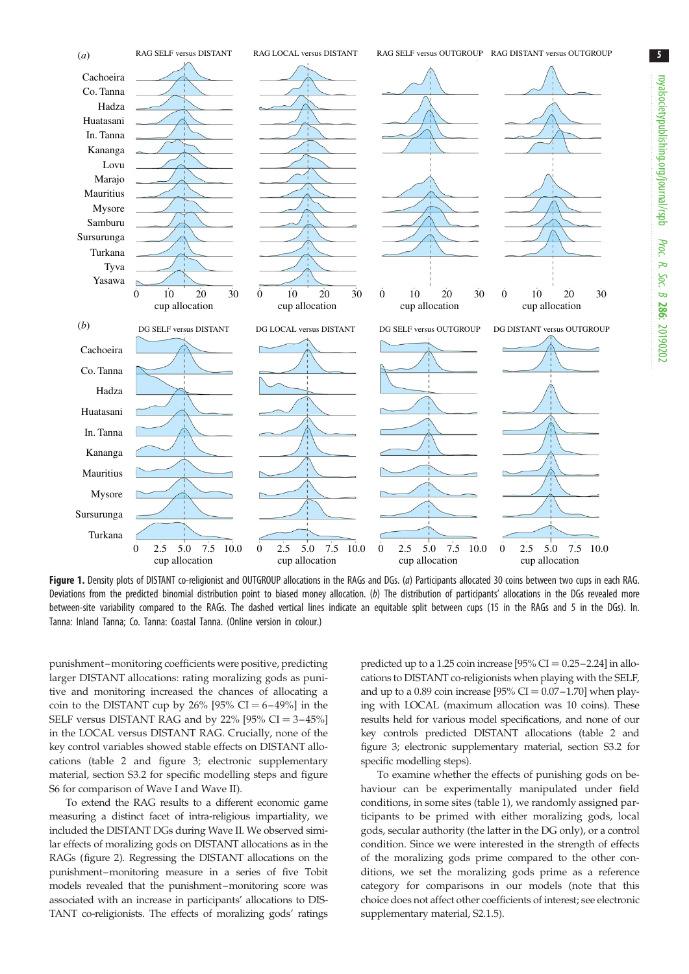<span id="page-4-0"></span>

Figure 1. Density plots of DISTANT co-religionist and OUTGROUP allocations in the RAGs and DGs. (a) Participants allocated 30 coins between two cups in each RAG. Deviations from the predicted binomial distribution point to biased money allocation. (b) The distribution of participants' allocations in the DGs revealed more between-site variability compared to the RAGs. The dashed vertical lines indicate an equitable split between cups (15 in the RAGs and 5 in the DGs). In. Tanna: Inland Tanna; Co. Tanna: Coastal Tanna. (Online version in colour.)

punishment –monitoring coefficients were positive, predicting larger DISTANT allocations: rating moralizing gods as punitive and monitoring increased the chances of allocating a coin to the DISTANT cup by 26%  $[95\% \text{ CI} = 6-49\%]$  in the SELF versus DISTANT RAG and by 22%  $[95\% \text{ CI} = 3-45\%]$ in the LOCAL versus DISTANT RAG. Crucially, none of the key control variables showed stable effects on DISTANT allocations [\(table 2](#page-6-0) and [figure 3](#page-7-0); electronic supplementary material, section S3.2 for specific modelling steps and figure S6 for comparison of Wave I and Wave II).

To extend the RAG results to a different economic game measuring a distinct facet of intra-religious impartiality, we included the DISTANT DGs during Wave II. We observed similar effects of moralizing gods on DISTANT allocations as in the RAGs [\(figure 2](#page-5-0)). Regressing the DISTANT allocations on the punishment–monitoring measure in a series of five Tobit models revealed that the punishment–monitoring score was associated with an increase in participants' allocations to DIS-TANT co-religionists. The effects of moralizing gods' ratings

predicted up to a 1.25 coin increase  $[95\% CI = 0.25 - 2.24]$  in allocations to DISTANT co-religionists when playing with the SELF, and up to a 0.89 coin increase  $195\%$  CI = 0.07–1.70] when playing with LOCAL (maximum allocation was 10 coins). These results held for various model specifications, and none of our key controls predicted DISTANT allocations [\(table 2](#page-6-0) and [figure 3](#page-7-0); electronic supplementary material, section S3.2 for specific modelling steps).

To examine whether the effects of punishing gods on behaviour can be experimentally manipulated under field conditions, in some sites [\(table 1](#page-2-0)), we randomly assigned participants to be primed with either moralizing gods, local gods, secular authority (the latter in the DG only), or a control condition. Since we were interested in the strength of effects of the moralizing gods prime compared to the other conditions, we set the moralizing gods prime as a reference category for comparisons in our models (note that this choice does not affect other coefficients of interest; see electronic supplementary material, S2.1.5).

Proc. R. Soc. $\sigma$ 

286: 20190202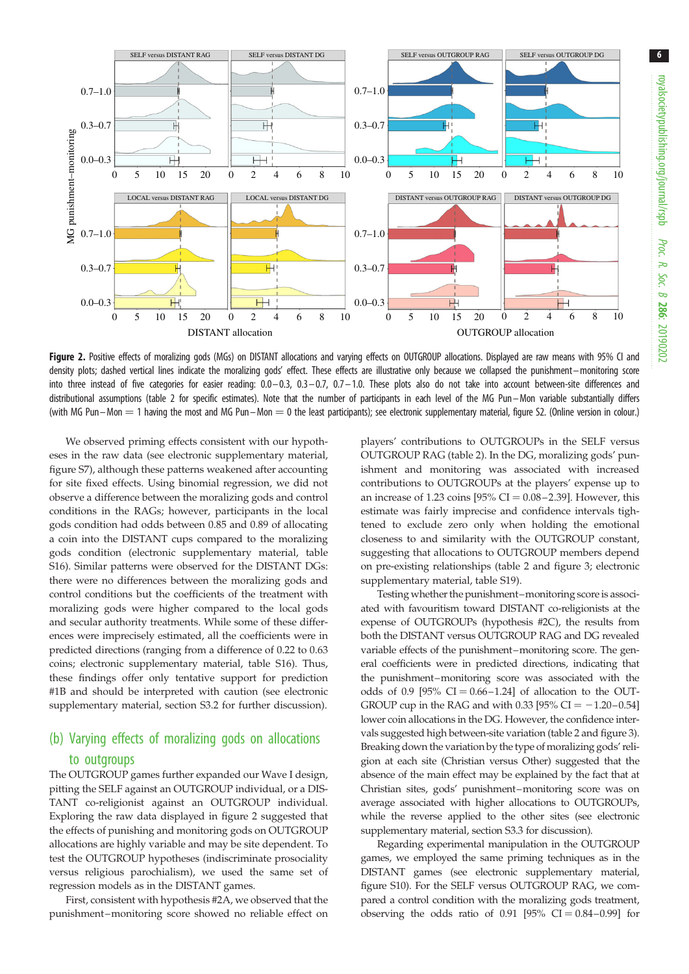<span id="page-5-0"></span>

Figure 2. Positive effects of moralizing gods (MGs) on DISTANT allocations and varying effects on OUTGROUP allocations. Displayed are raw means with 95% CI and density plots; dashed vertical lines indicate the moralizing gods' effect. These effects are illustrative only because we collapsed the punishment–monitoring score into three instead of five categories for easier reading: 0.0–0.3, 0.3–0.7, 0.7–1.0. These plots also do not take into account between-site differences and distributional assumptions ([table 2](#page-6-0) for specific estimates). Note that the number of participants in each level of the MG Pun–Mon variable substantially differs (with MG Pun–Mon  $=$  1 having the most and MG Pun–Mon  $=$  0 the least participants); see electronic supplementary material, figure S2. (Online version in colour.)

We observed priming effects consistent with our hypotheses in the raw data (see electronic supplementary material, figure S7), although these patterns weakened after accounting for site fixed effects. Using binomial regression, we did not observe a difference between the moralizing gods and control conditions in the RAGs; however, participants in the local gods condition had odds between 0.85 and 0.89 of allocating a coin into the DISTANT cups compared to the moralizing gods condition (electronic supplementary material, table S16). Similar patterns were observed for the DISTANT DGs: there were no differences between the moralizing gods and control conditions but the coefficients of the treatment with moralizing gods were higher compared to the local gods and secular authority treatments. While some of these differences were imprecisely estimated, all the coefficients were in predicted directions (ranging from a difference of 0.22 to 0.63 coins; electronic supplementary material, table S16). Thus, these findings offer only tentative support for prediction #1B and should be interpreted with caution (see electronic supplementary material, section S3.2 for further discussion).

# (b) Varying effects of moralizing gods on allocations

#### to outgroups

The OUTGROUP games further expanded our Wave I design, pitting the SELF against an OUTGROUP individual, or a DIS-TANT co-religionist against an OUTGROUP individual. Exploring the raw data displayed in figure 2 suggested that the effects of punishing and monitoring gods on OUTGROUP allocations are highly variable and may be site dependent. To test the OUTGROUP hypotheses (indiscriminate prosociality versus religious parochialism), we used the same set of regression models as in the DISTANT games.

First, consistent with hypothesis #2A, we observed that the punishment –monitoring score showed no reliable effect on players' contributions to OUTGROUPs in the SELF versus OUTGROUP RAG [\(table 2\)](#page-6-0). In the DG, moralizing gods' punishment and monitoring was associated with increased contributions to OUTGROUPs at the players' expense up to an increase of 1.23 coins  $[95\% \text{ CI} = 0.08 - 2.39]$ . However, this estimate was fairly imprecise and confidence intervals tightened to exclude zero only when holding the emotional closeness to and similarity with the OUTGROUP constant, suggesting that allocations to OUTGROUP members depend on pre-existing relationships ([table 2](#page-6-0) and [figure 3;](#page-7-0) electronic supplementary material, table S19).

Testing whether the punishment–monitoring score is associated with favouritism toward DISTANT co-religionists at the expense of OUTGROUPs (hypothesis #2C), the results from both the DISTANT versus OUTGROUP RAG and DG revealed variable effects of the punishment–monitoring score. The general coefficients were in predicted directions, indicating that the punishment–monitoring score was associated with the odds of 0.9 [95%  $CI = 0.66 - 1.24$ ] of allocation to the OUT-GROUP cup in the RAG and with 0.33 [95% CI =  $-1.20-0.54$ ] lower coin allocations in the DG. However, the confidence intervals suggested high between-site variation [\(table 2](#page-6-0) and [figure 3\)](#page-7-0). Breaking down the variation by the type of moralizing gods' religion at each site (Christian versus Other) suggested that the absence of the main effect may be explained by the fact that at Christian sites, gods' punishment–monitoring score was on average associated with higher allocations to OUTGROUPs, while the reverse applied to the other sites (see electronic supplementary material, section S3.3 for discussion).

Regarding experimental manipulation in the OUTGROUP games, we employed the same priming techniques as in the DISTANT games (see electronic supplementary material, figure S10). For the SELF versus OUTGROUP RAG, we compared a control condition with the moralizing gods treatment, observing the odds ratio of 0.91 [95%  $CI = 0.84 - 0.99$ ] for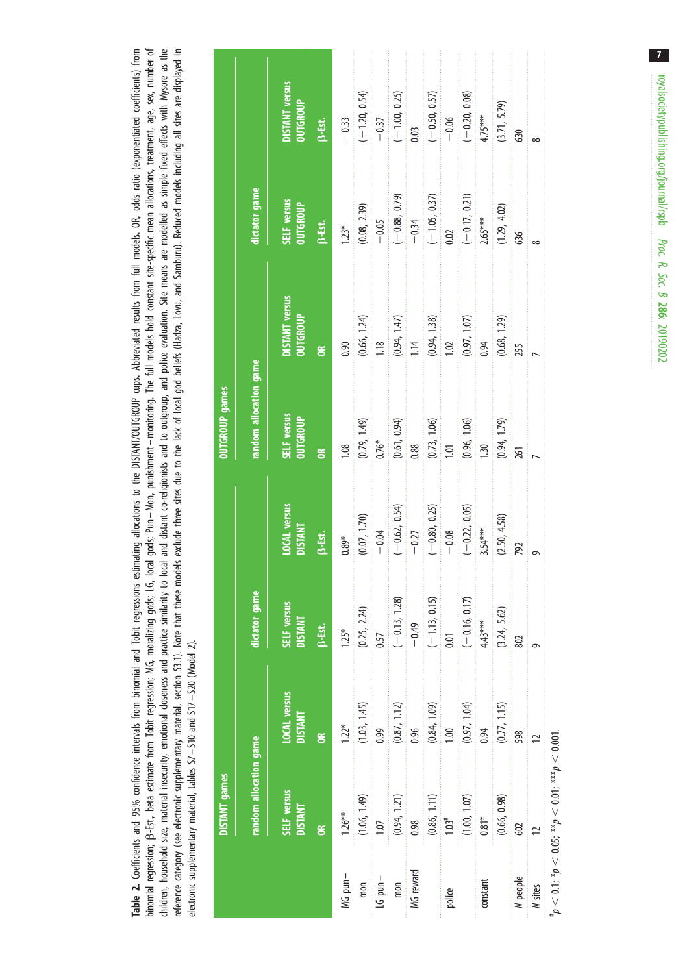<span id="page-6-0"></span>children, household size, material insecurity, emotional doseness and practice similarity to local and distant o-religionists and to outgroup, and police evaluation. Site means are modelled as simple fixed effects with Mys Table 2. Coefficients and 95% confidence intervals from binomial and Tobit regressions estimating allocations to the DISTANT/OUTGROUP cups. Abbreviated results from full models. OR, odds ratio (exponentiated coefficients) binomial regression; B-Est., beta estimate from Tobit regression; MG, moralizing gods; LG, local gods; Pun-Mon, punishment-monitoring. The full models hold constant site-specific mean allocations, treatment, age, sex, numb binomial regression; B-Est., beta estimate from Tobit regression; MG, moralizion; MG, moralizing gods; Pun – Mon, punishment – monitoring. The full models hold constant site-specific mean allocations, treatment, age, sex, children, household size, material insecurity, emotional doseness and practice similarity to local and distant co-religionists and to outgroup, and police evaluation. Site means are modelled as simple fixed effects with My reference category (see electronic supplementary material, section S3.1). Note that these models exclude three sites of lue to the lack of local god beliefs (Hadza, Lovu, and Samburu). Reduced models including all sites ar Table 2. Coefficients and 95% confidence intervals from binomial and Tobit regressions estimating allocations to the DISTANT/OUTGROUP cups. Abbreviated results from full models. OR, odds ratio (exponentiated coefficients) electronic supplementary material, tables S7-S10 and S17-S20 (Model 2). electronic supplementary material, tables S7– S10 and S17 – S20 (Model 2).

|              | <b>DISTANT</b> games                                                                                  |                                                      |                                         |                                                 | <b>UTGROUP</b> games                   |                                                    |                                   |                                                    |
|--------------|-------------------------------------------------------------------------------------------------------|------------------------------------------------------|-----------------------------------------|-------------------------------------------------|----------------------------------------|----------------------------------------------------|-----------------------------------|----------------------------------------------------|
|              | random allocation game                                                                                |                                                      | <b>dictator</b> game                    |                                                 | random allocation game                 |                                                    | <b>ictator</b> game               |                                                    |
|              | SELF versus<br><b>DISTANT</b><br>$\tilde{a}$                                                          | <b>LOCAL</b> versus<br><b>DISTANT</b><br>$\tilde{a}$ | SELF versus<br><b>DISTANT</b><br>B-Est. | <b>LOCAL</b> versus<br><b>DISTANT</b><br>β-Est. | SELF versus<br>OUTGROUP<br>$\tilde{a}$ | DISTANT versus<br>OUTGROUP<br>$\tilde{\mathbf{g}}$ | SELF versus<br>OUTGROUP<br>B-Ett. | <b>JISTANT</b> versus<br><b>OUTGROUP</b><br>B-Est. |
| MG pun-      | $1.26***$                                                                                             | $1.22*$                                              | $1.25*$                                 | $0.89*$                                         | 1.08                                   | 0.90                                               | $1.23*$                           | $-0.33$                                            |
| mon          | (1.06, 1.49)                                                                                          | (1.03, 1.45)                                         | (0.25, 2.24)                            | (0.07, 1.70)                                    |                                        |                                                    | (0.08, 2.39)                      |                                                    |
| $LG$ pun $-$ | 1.07                                                                                                  | 0.99                                                 | 0.57                                    | $-0.04$                                         | $(0.79, 1.49)$<br>$0.76*$              | $(0.66, 1.24)$<br>1.18                             | $-0.05$                           | $(-1.20, 0.54)$<br>-0.37                           |
| mon          | (0.94, 1.21)                                                                                          | (0.87, 1.12)                                         | $(-0.13, 1.28)$                         | $(-0.62, 0.54)$                                 |                                        | $(0.94, 1.47)$<br>1.14                             | $(-0.88, 0.79)$<br>-0.34          | $(-1.00, 0.25)$                                    |
| MG reward    | 0.98                                                                                                  | 0.96                                                 | $-0.49$                                 | $-0.27$                                         | $(0.61, 0.94)$<br>$0.88$               |                                                    |                                   | 0.03                                               |
|              | (0.86, 1.11)                                                                                          | (0.84, 1.09)                                         | $(-1.13, 0.15)$                         | $(-0.80, 0.25)$                                 | $(0.73, 1.06)$<br>1.01                 | (0.94, 1.38)                                       | $(-1.05, 0.37)$                   | $(-0.50, 0.57)$                                    |
| police       | $1.03$ <sup>#</sup>                                                                                   | 1.00                                                 | 0.01                                    | $-0.08$                                         |                                        | 1.02                                               | 0.02                              | $-0.06$                                            |
|              | (1.00, 1.07)                                                                                          | (0.97, 1.04)                                         | $(-0.16, 0.17)$                         | $(-0.22, 0.05)$                                 | $(0.96, 1.06)$<br>1.30                 | (0.97, 1.07)                                       | $(-0.17, 0.21)$                   | $(-0.20, 0.08)$                                    |
| constant     | $0.81*$                                                                                               | 0.94                                                 | $4.43***$                               | $3.54***$                                       |                                        | 0.94                                               | $2.65***$                         | $4.75***$                                          |
|              | (0.66, 0.98)                                                                                          | (0.77, 1.15)                                         | (3.24, 5.62)                            | (2.50, 4.58)                                    | (0.94, 1.79)                           | (0.68, 1.29)                                       | (1.29, 4.02)                      | (3.71, 5.79)                                       |
| N people     | 602                                                                                                   | 598                                                  | 802                                     | 792                                             | 261                                    | 255                                                | 636                               | 630                                                |
| N sites      | $\overline{C}$                                                                                        |                                                      |                                         |                                                 |                                        |                                                    |                                   |                                                    |
|              | ${}^{\sharp}p < 0.1$ ; ${}^{\ast}p < 0.05$ ; ${}^{\ast\ast}p < 0.01$ ; ${}^{\ast\ast\ast}p < 0.001$ . |                                                      |                                         |                                                 |                                        |                                                    |                                   |                                                    |

 $\overline{7}$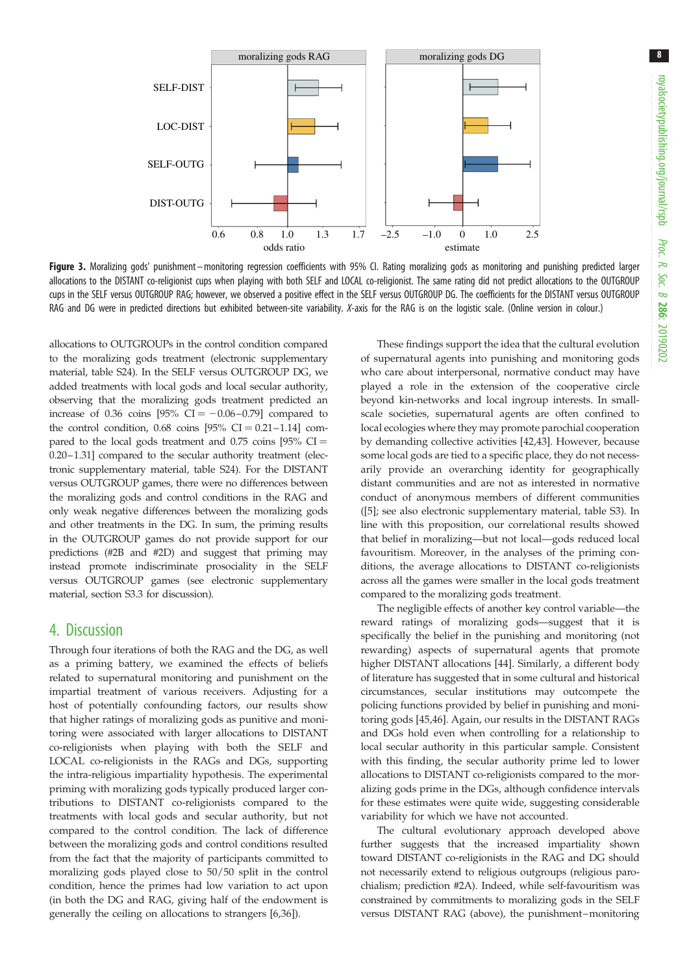<span id="page-7-0"></span>

Figure 3. Moralizing gods' punishment-monitoring regression coefficients with 95% Cl. Rating moralizing gods as monitoring and punishing predicted larger allocations to the DISTANT co-religionist cups when playing with both SELF and LOCAL co-religionist. The same rating did not predict allocations to the OUTGROUP cups in the SELF versus OUTGROUP RAG; however, we observed a positive effect in the SELF versus OUTGROUP DG. The coefficients for the DISTANT versus OUTGROUP RAG and DG were in predicted directions but exhibited between-site variability. *X*-axis for the RAG is on the logistic scale. (Online version in colour.)

allocations to OUTGROUPs in the control condition compared to the moralizing gods treatment (electronic supplementary material, table S24). In the SELF versus OUTGROUP DG, we added treatments with local gods and local secular authority, observing that the moralizing gods treatment predicted an increase of 0.36 coins  $[95\% \text{ CI} = -0.06 - 0.79]$  compared to the control condition, 0.68 coins  $[95\% \text{ CI} = 0.21 - 1.14]$  compared to the local gods treatment and 0.75 coins  $[95\% \text{ CI} =$ 0.20–1.31] compared to the secular authority treatment (electronic supplementary material, table S24). For the DISTANT versus OUTGROUP games, there were no differences between the moralizing gods and control conditions in the RAG and only weak negative differences between the moralizing gods and other treatments in the DG. In sum, the priming results in the OUTGROUP games do not provide support for our predictions (#2B and #2D) and suggest that priming may instead promote indiscriminate prosociality in the SELF versus OUTGROUP games (see electronic supplementary material, section S3.3 for discussion).

#### 4. Discussion

Through four iterations of both the RAG and the DG, as well as a priming battery, we examined the effects of beliefs related to supernatural monitoring and punishment on the impartial treatment of various receivers. Adjusting for a host of potentially confounding factors, our results show that higher ratings of moralizing gods as punitive and monitoring were associated with larger allocations to DISTANT co-religionists when playing with both the SELF and LOCAL co-religionists in the RAGs and DGs, supporting the intra-religious impartiality hypothesis. The experimental priming with moralizing gods typically produced larger contributions to DISTANT co-religionists compared to the treatments with local gods and secular authority, but not compared to the control condition. The lack of difference between the moralizing gods and control conditions resulted from the fact that the majority of participants committed to moralizing gods played close to 50/50 split in the control condition, hence the primes had low variation to act upon (in both the DG and RAG, giving half of the endowment is generally the ceiling on allocations to strangers [\[6,](#page-8-0)[36\]](#page-9-0)).

These findings support the idea that the cultural evolution of supernatural agents into punishing and monitoring gods who care about interpersonal, normative conduct may have played a role in the extension of the cooperative circle beyond kin-networks and local ingroup interests. In smallscale societies, supernatural agents are often confined to local ecologies where they may promote parochial cooperation by demanding collective activities [\[42](#page-9-0),[43\]](#page-9-0). However, because some local gods are tied to a specific place, they do not necessarily provide an overarching identity for geographically distant communities and are not as interested in normative conduct of anonymous members of different communities ([[5](#page-8-0)]; see also electronic supplementary material, table S3). In line with this proposition, our correlational results showed that belief in moralizing—but not local—gods reduced local favouritism. Moreover, in the analyses of the priming conditions, the average allocations to DISTANT co-religionists across all the games were smaller in the local gods treatment compared to the moralizing gods treatment.

The negligible effects of another key control variable—the reward ratings of moralizing gods—suggest that it is specifically the belief in the punishing and monitoring (not rewarding) aspects of supernatural agents that promote higher DISTANT allocations [\[44](#page-9-0)]. Similarly, a different body of literature has suggested that in some cultural and historical circumstances, secular institutions may outcompete the policing functions provided by belief in punishing and monitoring gods [\[45](#page-9-0),[46\]](#page-9-0). Again, our results in the DISTANT RAGs and DGs hold even when controlling for a relationship to local secular authority in this particular sample. Consistent with this finding, the secular authority prime led to lower allocations to DISTANT co-religionists compared to the moralizing gods prime in the DGs, although confidence intervals for these estimates were quite wide, suggesting considerable variability for which we have not accounted.

The cultural evolutionary approach developed above further suggests that the increased impartiality shown toward DISTANT co-religionists in the RAG and DG should not necessarily extend to religious outgroups (religious parochialism; prediction #2A). Indeed, while self-favouritism was constrained by commitments to moralizing gods in the SELF versus DISTANT RAG (above), the punishment–monitoring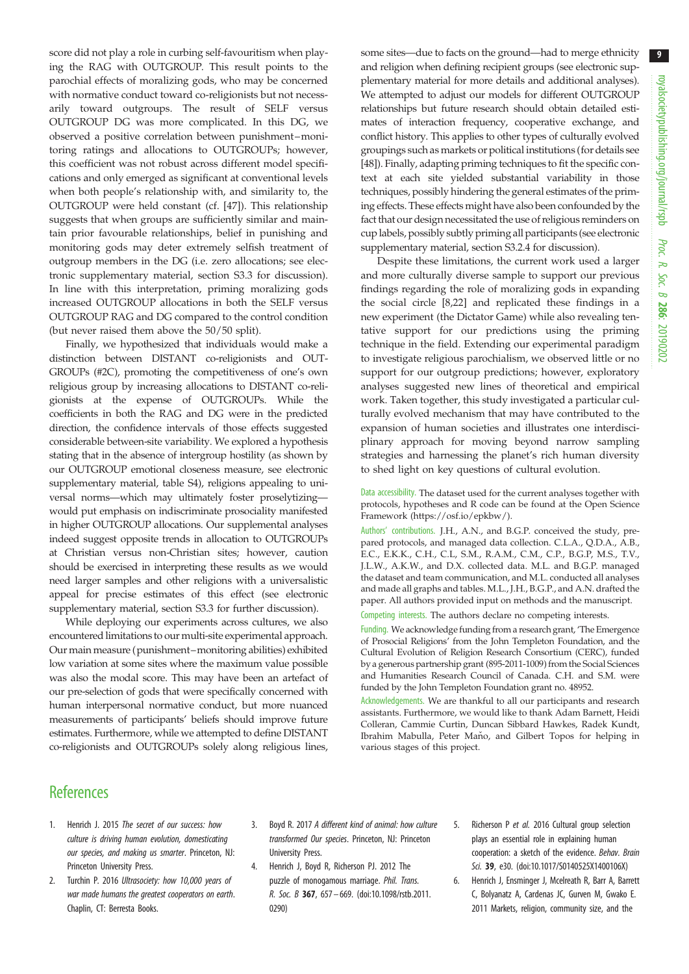<span id="page-8-0"></span>score did not play a role in curbing self-favouritism when playing the RAG with OUTGROUP. This result points to the parochial effects of moralizing gods, who may be concerned with normative conduct toward co-religionists but not necessarily toward outgroups. The result of SELF versus OUTGROUP DG was more complicated. In this DG, we observed a positive correlation between punishment–monitoring ratings and allocations to OUTGROUPs; however, this coefficient was not robust across different model specifications and only emerged as significant at conventional levels when both people's relationship with, and similarity to, the OUTGROUP were held constant (cf. [\[47](#page-9-0)]). This relationship suggests that when groups are sufficiently similar and maintain prior favourable relationships, belief in punishing and monitoring gods may deter extremely selfish treatment of outgroup members in the DG (i.e. zero allocations; see electronic supplementary material, section S3.3 for discussion). In line with this interpretation, priming moralizing gods increased OUTGROUP allocations in both the SELF versus OUTGROUP RAG and DG compared to the control condition (but never raised them above the 50/50 split).

Finally, we hypothesized that individuals would make a distinction between DISTANT co-religionists and OUT-GROUPs (#2C), promoting the competitiveness of one's own religious group by increasing allocations to DISTANT co-religionists at the expense of OUTGROUPs. While the coefficients in both the RAG and DG were in the predicted direction, the confidence intervals of those effects suggested considerable between-site variability. We explored a hypothesis stating that in the absence of intergroup hostility (as shown by our OUTGROUP emotional closeness measure, see electronic supplementary material, table S4), religions appealing to universal norms—which may ultimately foster proselytizing would put emphasis on indiscriminate prosociality manifested in higher OUTGROUP allocations. Our supplemental analyses indeed suggest opposite trends in allocation to OUTGROUPs at Christian versus non-Christian sites; however, caution should be exercised in interpreting these results as we would need larger samples and other religions with a universalistic appeal for precise estimates of this effect (see electronic supplementary material, section S3.3 for further discussion).

While deploying our experiments across cultures, we also encountered limitations to our multi-site experimental approach. Our main measure (punishment–monitoring abilities) exhibited low variation at some sites where the maximum value possible was also the modal score. This may have been an artefact of our pre-selection of gods that were specifically concerned with human interpersonal normative conduct, but more nuanced measurements of participants' beliefs should improve future estimates. Furthermore, while we attempted to define DISTANT co-religionists and OUTGROUPs solely along religious lines,

some sites—due to facts on the ground—had to merge ethnicity and religion when defining recipient groups (see electronic supplementary material for more details and additional analyses). We attempted to adjust our models for different OUTGROUP relationships but future research should obtain detailed estimates of interaction frequency, cooperative exchange, and conflict history. This applies to other types of culturally evolved groupings such as markets or political institutions (for details see [[48](#page-9-0)]). Finally, adapting priming techniques to fit the specific context at each site yielded substantial variability in those techniques, possibly hindering the general estimates of the priming effects. These effects might have also been confounded by the fact that our design necessitated the use of religious reminders on cup labels, possibly subtly priming all participants (see electronic supplementary material, section S3.2.4 for discussion).

Despite these limitations, the current work used a larger and more culturally diverse sample to support our previous findings regarding the role of moralizing gods in expanding the social circle [[8](#page-9-0),[22\]](#page-9-0) and replicated these findings in a new experiment (the Dictator Game) while also revealing tentative support for our predictions using the priming technique in the field. Extending our experimental paradigm to investigate religious parochialism, we observed little or no support for our outgroup predictions; however, exploratory analyses suggested new lines of theoretical and empirical work. Taken together, this study investigated a particular culturally evolved mechanism that may have contributed to the expansion of human societies and illustrates one interdisciplinary approach for moving beyond narrow sampling strategies and harnessing the planet's rich human diversity to shed light on key questions of cultural evolution.

Data accessibility. The dataset used for the current analyses together with protocols, hypotheses and R code can be found at the Open Science Framework [\(https://osf.io/epkbw/](https://osf.io/epkbw/)).

Authors' contributions. J.H., A.N., and B.G.P. conceived the study, prepared protocols, and managed data collection. C.L.A., Q.D.A., A.B., E.C., E.K.K., C.H., C.L, S.M., R.A.M., C.M., C.P., B.G.P, M.S., T.V., J.L.W., A.K.W., and D.X. collected data. M.L. and B.G.P. managed the dataset and team communication, and M.L. conducted all analyses and made all graphs and tables. M.L., J.H., B.G.P., and A.N. drafted the paper. All authors provided input on methods and the manuscript.

Competing interests. The authors declare no competing interests.

Funding. We acknowledge funding from a research grant, 'The Emergence of Prosocial Religions' from the John Templeton Foundation, and the Cultural Evolution of Religion Research Consortium (CERC), funded by a generous partnership grant (895-2011-1009) from the Social Sciences and Humanities Research Council of Canada. C.H. and S.M. were funded by the John Templeton Foundation grant no. 48952.

Acknowledgements. We are thankful to all our participants and research assistants. Furthermore, we would like to thank Adam Barnett, Heidi Colleran, Cammie Curtin, Duncan Sibbard Hawkes, Radek Kundt, Ibrahim Mabulla, Peter Maňo, and Gilbert Topos for helping in various stages of this project.

### **References**

- 1. Henrich J. 2015 The secret of our success: how culture is driving human evolution, domesticating our species, and making us smarter. Princeton, NJ: Princeton University Press.
- 2. Turchin P. 2016 Ultrasociety: how 10,000 years of war made humans the greatest cooperators on earth. Chaplin, CT: Berresta Books.
- 3. Boyd R. 2017 A different kind of animal: how culture transformed Our species. Princeton, NJ: Princeton University Press.
- 4. Henrich J, Boyd R, Richerson PJ. 2012 The puzzle of monogamous marriage. Phil. Trans. R. Soc. B 367, 657– 669. ([doi:10.1098/rstb.2011.](http://dx.doi.org/10.1098/rstb.2011.0290) [0290](http://dx.doi.org/10.1098/rstb.2011.0290))
- 5. Richerson P et al. 2016 Cultural group selection plays an essential role in explaining human cooperation: a sketch of the evidence. Behav. Brain Sci. 39, e30. ([doi:10.1017/S0140525X1400106X](http://dx.doi.org/10.1017/S0140525X1400106X))
- 6. Henrich J, Ensminger J, Mcelreath R, Barr A, Barrett C, Bolyanatz A, Cardenas JC, Gurven M, Gwako E. 2011 Markets, religion, community size, and the